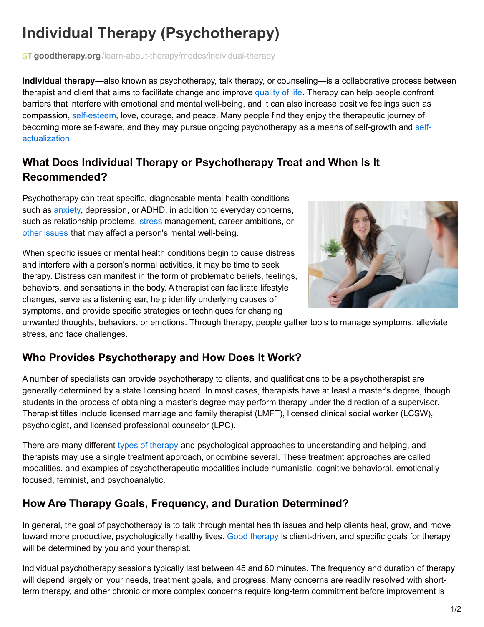# **Individual Therapy (Psychotherapy)**

**GT goodtherapy.org**[/learn-about-therapy/modes/individual-therapy](https://www.goodtherapy.org/learn-about-therapy/modes/individual-therapy)

**Individual therapy**—also known as psychotherapy, talk therapy, or counseling—is a collaborative process between therapist and client that aims to facilitate change and improve [quality](https://www.goodtherapy.org/blog/schizophrenia-stress-symptoms-relapse-0304132) of life. Therapy can help people confront barriers that interfere with emotional and mental well-being, and it can also increase positive feelings such as compassion, [self-esteem](https://www.goodtherapy.org/learn-about-therapy/issues/self-esteem), love, courage, and peace. Many people find they enjoy the therapeutic journey of becoming more self-aware, and they may pursue ongoing [psychotherapy](https://www.goodtherapy.org/learn-about-therapy/issues/self-actualization) as a means of self-growth and selfactualization.

## **What Does Individual Therapy or Psychotherapy Treat and When Is It Recommended?**

Psychotherapy can treat specific, diagnosable mental health conditions such as [anxiety](https://www.goodtherapy.org/learn-about-therapy/issues/anxiety), depression, or ADHD, in addition to everyday concerns, such as relationship problems, [stress](https://www.goodtherapy.org/learn-about-therapy/issues/stress) management, career ambitions, or other [issues](https://www.goodtherapy.org/learn-about-therapy/issues) that may affect a person's mental well-being.

When specific issues or mental health conditions begin to cause distress and interfere with a person's normal activities, it may be time to seek therapy. Distress can manifest in the form of problematic beliefs, feelings, behaviors, and sensations in the body. A therapist can facilitate lifestyle changes, serve as a listening ear, help identify underlying causes of symptoms, and provide specific strategies or techniques for changing



unwanted thoughts, behaviors, or emotions. Through therapy, people gather tools to manage symptoms, alleviate stress, and face challenges.

# **Who Provides Psychotherapy and How Does It Work?**

A number of specialists can provide psychotherapy to clients, and qualifications to be a psychotherapist are generally determined by a state licensing board. In most cases, therapists have at least a master's degree, though students in the process of obtaining a master's degree may perform therapy under the direction of a supervisor. Therapist titles include licensed marriage and family therapist (LMFT), licensed clinical social worker (LCSW), psychologist, and licensed professional counselor (LPC).

There are many different types of [therapy](https://www.goodtherapy.org/learn-about-therapy/types) and psychological approaches to understanding and helping, and therapists may use a single treatment approach, or combine several. These treatment approaches are called modalities, and examples of psychotherapeutic modalities include humanistic, cognitive behavioral, emotionally focused, feminist, and psychoanalytic.

#### **How Are Therapy Goals, Frequency, and Duration Determined?**

In general, the goal of psychotherapy is to talk through mental health issues and help clients heal, grow, and move toward more productive, psychologically healthy lives. Good [therapy](https://www.goodtherapy.org/what-is-good-therapy.html) is client-driven, and specific goals for therapy will be determined by you and your therapist.

Individual psychotherapy sessions typically last between 45 and 60 minutes. The frequency and duration of therapy will depend largely on your needs, treatment goals, and progress. Many concerns are readily resolved with shortterm therapy, and other chronic or more complex concerns require long-term commitment before improvement is